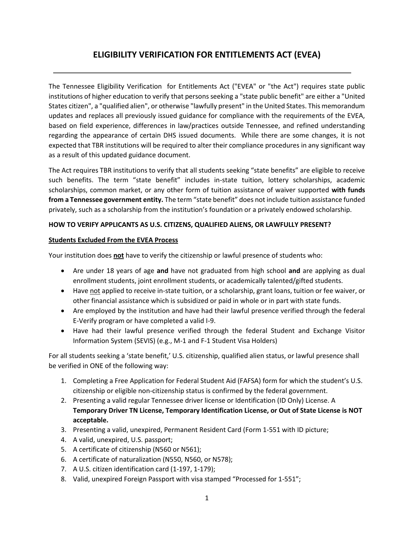## **ELIGIBILITY VERIFICATION FOR ENTITLEMENTS ACT (EVEA)**

The Tennessee Eligibility Verification for Entitlements Act ("EVEA" or "the Act") requires state public institutions of higher education to verify that persons seeking a "state public benefit" are either a "United States citizen", a "qualified alien", or otherwise "lawfully present" in the United States. This memorandum updates and replaces all previously issued guidance for compliance with the requirements of the EVEA, based on field experience, differences in law/practices outside Tennessee, and refined understanding regarding the appearance of certain DHS issued documents. While there are some changes, it is not expected that TBR institutions will be required to alter their compliance procedures in any significant way as a result of this updated guidance document.

The Act requires TBR institutions to verify that all students seeking "state benefits" are eligible to receive such benefits. The term "state benefit" includes in-state tuition, lottery scholarships, academic scholarships, common market, or any other form of tuition assistance of waiver supported **with funds from a Tennessee government entity.** The term "state benefit" does not include tuition assistance funded privately, such as a scholarship from the institution's foundation or a privately endowed scholarship.

## **HOW TO VERIFY APPLICANTS AS U.S. CITIZENS, QUALIFIED ALIENS, OR LAWFULLY PRESENT?**

## **Students Excluded From the EVEA Process**

Your institution does **not** have to verify the citizenship or lawful presence of students who:

- Are under 18 years of age **and** have not graduated from high school **and** are applying as dual enrollment students, joint enrollment students, or academically talented/gifted students.
- Have not applied to receive in-state tuition, or a scholarship, grant loans, tuition or fee waiver, or other financial assistance which is subsidized or paid in whole or in part with state funds.
- Are employed by the institution and have had their lawful presence verified through the federal E-Verify program or have completed a valid I-9.
- Have had their lawful presence verified through the federal Student and Exchange Visitor Information System (SEVIS) (e.g., M-1 and F-1 Student Visa Holders)

For all students seeking a 'state benefit,' U.S. citizenship, qualified alien status, or lawful presence shall be verified in ONE of the following way:

- 1. Completing a Free Application for Federal Student Aid (FAFSA) form for which the student's U.S. citizenship or eligible non-citizenship status is confirmed by the federal government.
- 2. Presenting a valid regular Tennessee driver license or Identification (ID Only) License. A **Temporary Driver TN License, Temporary Identification License, or Out of State License is NOT acceptable.**
- 3. Presenting a valid, unexpired, Permanent Resident Card (Form 1-551 with ID picture;
- 4. A valid, unexpired, U.S. passport;
- 5. A certificate of citizenship (N560 or N561);
- 6. A certificate of naturalization (N550, N560, or N578);
- 7. A U.S. citizen identification card (1-197, 1-179);
- 8. Valid, unexpired Foreign Passport with visa stamped "Processed for 1-551";